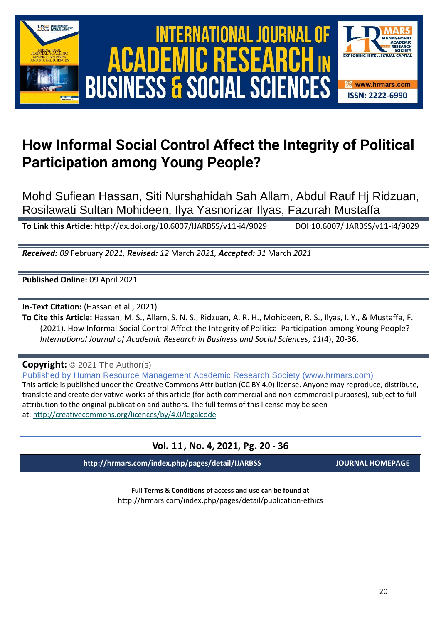



# **How Informal Social Control Affect the Integrity of Political Participation among Young People?**

Mohd Sufiean Hassan, Siti Nurshahidah Sah Allam, Abdul Rauf Hj Ridzuan, Rosilawati Sultan Mohideen, Ilya Yasnorizar Ilyas, Fazurah Mustaffa

**To Link this Article:** http://dx.doi.org/10.6007/IJARBSS/v11-i4/9029 DOI:10.6007/IJARBSS/v11-i4/9029

*Received: 09* February *2021, Revised: 12* March *2021, Accepted: 31* March *2021*

**Published Online:** 09 April 2021

**In-Text Citation:** (Hassan et al., 2021)

**To Cite this Article:** Hassan, M. S., Allam, S. N. S., Ridzuan, A. R. H., Mohideen, R. S., Ilyas, I. Y., & Mustaffa, F. (2021). How Informal Social Control Affect the Integrity of Political Participation among Young People? *International Journal of Academic Research in Business and Social Sciences*, *11*(4), 20-36.

**Copyright:** © 2021 The Author(s)

Published by Human Resource Management Academic Research Society (www.hrmars.com) This article is published under the Creative Commons Attribution (CC BY 4.0) license. Anyone may reproduce, distribute, translate and create derivative works of this article (for both commercial and non-commercial purposes), subject to full attribution to the original publication and authors. The full terms of this license may be seen at: <http://creativecommons.org/licences/by/4.0/legalcode>

| Vol. 11, No. 4, 2021, Pg. 20 - 36                |                         |
|--------------------------------------------------|-------------------------|
| http://hrmars.com/index.php/pages/detail/IJARBSS | <b>JOURNAL HOMEPAGE</b> |

**Full Terms & Conditions of access and use can be found at** http://hrmars.com/index.php/pages/detail/publication-ethics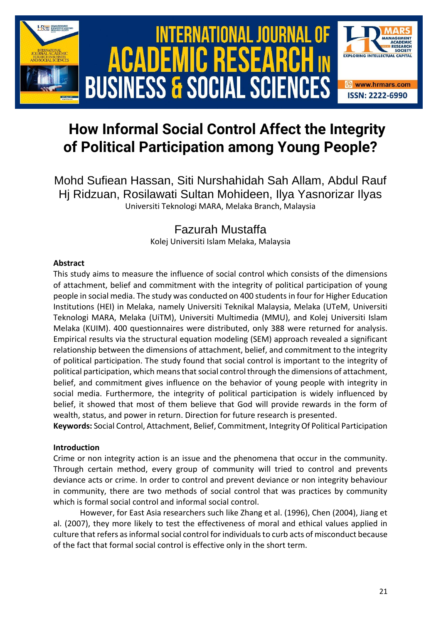

# **How Informal Social Control Affect the Integrity of Political Participation among Young People?**

Mohd Sufiean Hassan, Siti Nurshahidah Sah Allam, Abdul Rauf Hj Ridzuan, Rosilawati Sultan Mohideen, Ilya Yasnorizar Ilyas Universiti Teknologi MARA, Melaka Branch, Malaysia

# Fazurah Mustaffa

Kolej Universiti Islam Melaka, Malaysia

# **Abstract**

This study aims to measure the influence of social control which consists of the dimensions of attachment, belief and commitment with the integrity of political participation of young people in social media. The study was conducted on 400 students in four for Higher Education Institutions (HEI) in Melaka, namely Universiti Teknikal Malaysia, Melaka (UTeM, Universiti Teknologi MARA, Melaka (UiTM), Universiti Multimedia (MMU), and Kolej Universiti Islam Melaka (KUIM). 400 questionnaires were distributed, only 388 were returned for analysis. Empirical results via the structural equation modeling (SEM) approach revealed a significant relationship between the dimensions of attachment, belief, and commitment to the integrity of political participation. The study found that social control is important to the integrity of political participation, which means that social control through the dimensions of attachment, belief, and commitment gives influence on the behavior of young people with integrity in social media. Furthermore, the integrity of political participation is widely influenced by belief, it showed that most of them believe that God will provide rewards in the form of wealth, status, and power in return. Direction for future research is presented.

**Keywords:** Social Control, Attachment, Belief, Commitment, Integrity Of Political Participation

# **Introduction**

Crime or non integrity action is an issue and the phenomena that occur in the community. Through certain method, every group of community will tried to control and prevents deviance acts or crime. In order to control and prevent deviance or non integrity behaviour in community, there are two methods of social control that was practices by community which is formal social control and informal social control.

However, for East Asia researchers such like Zhang et al. (1996), Chen (2004), Jiang et al. (2007), they more likely to test the effectiveness of moral and ethical values applied in culture that refers as informal social control for individuals to curb acts of misconduct because of the fact that formal social control is effective only in the short term.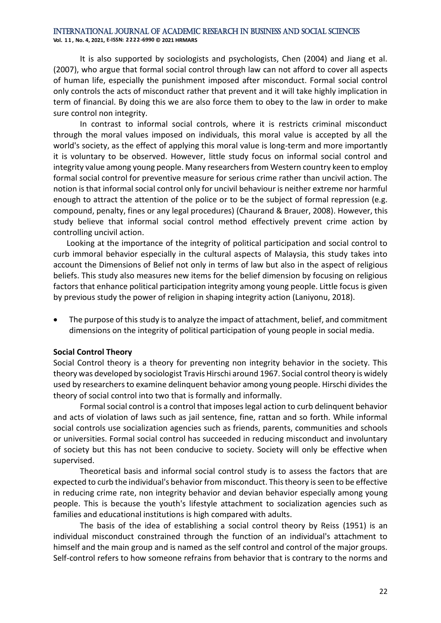**Vol. 1 1 , No. 4, 2021, E-ISSN: 2222-6990 © 2021 HRMARS**

It is also supported by sociologists and psychologists, Chen (2004) and Jiang et al. (2007), who argue that formal social control through law can not afford to cover all aspects of human life, especially the punishment imposed after misconduct. Formal social control only controls the acts of misconduct rather that prevent and it will take highly implication in term of financial. By doing this we are also force them to obey to the law in order to make sure control non integrity.

In contrast to informal social controls, where it is restricts criminal misconduct through the moral values imposed on individuals, this moral value is accepted by all the world's society, as the effect of applying this moral value is long-term and more importantly it is voluntary to be observed. However, little study focus on informal social control and integrity value among young people. Many researchers from Western country keen to employ formal social control for preventive measure for serious crime rather than uncivil action. The notion is that informal social control only for uncivil behaviour is neither extreme nor harmful enough to attract the attention of the police or to be the subject of formal repression (e.g. compound, penalty, fines or any legal procedures) (Chaurand & Brauer, 2008). However, this study believe that informal social control method effectively prevent crime action by controlling uncivil action.

Looking at the importance of the integrity of political participation and social control to curb immoral behavior especially in the cultural aspects of Malaysia, this study takes into account the Dimensions of Belief not only in terms of law but also in the aspect of religious beliefs. This study also measures new items for the belief dimension by focusing on religious factors that enhance political participation integrity among young people. Little focus is given by previous study the power of religion in shaping integrity action (Laniyonu, 2018).

• The purpose of this study is to analyze the impact of attachment, belief, and commitment dimensions on the integrity of political participation of young people in social media.

#### **Social Control Theory**

Social Control theory is a theory for preventing non integrity behavior in the society. This theory was developed by sociologist Travis Hirschi around 1967. Social control theory is widely used by researchers to examine delinquent behavior among young people. Hirschi divides the theory of social control into two that is formally and informally.

Formal social control is a control that imposes legal action to curb delinquent behavior and acts of violation of laws such as jail sentence, fine, rattan and so forth. While informal social controls use socialization agencies such as friends, parents, communities and schools or universities. Formal social control has succeeded in reducing misconduct and involuntary of society but this has not been conducive to society. Society will only be effective when supervised.

Theoretical basis and informal social control study is to assess the factors that are expected to curb the individual's behavior from misconduct. This theory is seen to be effective in reducing crime rate, non integrity behavior and devian behavior especially among young people. This is because the youth's lifestyle attachment to socialization agencies such as families and educational institutions is high compared with adults.

The basis of the idea of establishing a social control theory by Reiss (1951) is an individual misconduct constrained through the function of an individual's attachment to himself and the main group and is named as the self control and control of the major groups. Self-control refers to how someone refrains from behavior that is contrary to the norms and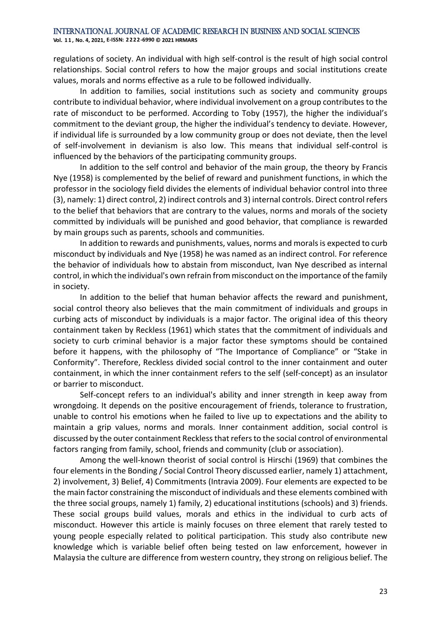**Vol. 1 1 , No. 4, 2021, E-ISSN: 2222-6990 © 2021 HRMARS**

regulations of society. An individual with high self-control is the result of high social control relationships. Social control refers to how the major groups and social institutions create values, morals and norms effective as a rule to be followed individually.

In addition to families, social institutions such as society and community groups contribute to individual behavior, where individual involvement on a group contributes to the rate of misconduct to be performed. According to Toby (1957), the higher the individual's commitment to the deviant group, the higher the individual's tendency to deviate. However, if individual life is surrounded by a low community group or does not deviate, then the level of self-involvement in devianism is also low. This means that individual self-control is influenced by the behaviors of the participating community groups.

In addition to the self control and behavior of the main group, the theory by Francis Nye (1958) is complemented by the belief of reward and punishment functions, in which the professor in the sociology field divides the elements of individual behavior control into three (3), namely: 1) direct control, 2) indirect controls and 3) internal controls. Direct control refers to the belief that behaviors that are contrary to the values, norms and morals of the society committed by individuals will be punished and good behavior, that compliance is rewarded by main groups such as parents, schools and communities.

In addition to rewards and punishments, values, norms and morals is expected to curb misconduct by individuals and Nye (1958) he was named as an indirect control. For reference the behavior of individuals how to abstain from misconduct, Ivan Nye described as internal control, in which the individual's own refrain from misconduct on the importance of the family in society.

In addition to the belief that human behavior affects the reward and punishment, social control theory also believes that the main commitment of individuals and groups in curbing acts of misconduct by individuals is a major factor. The original idea of this theory containment taken by Reckless (1961) which states that the commitment of individuals and society to curb criminal behavior is a major factor these symptoms should be contained before it happens, with the philosophy of "The Importance of Compliance" or "Stake in Conformity". Therefore, Reckless divided social control to the inner containment and outer containment, in which the inner containment refers to the self (self-concept) as an insulator or barrier to misconduct.

Self-concept refers to an individual's ability and inner strength in keep away from wrongdoing. It depends on the positive encouragement of friends, tolerance to frustration, unable to control his emotions when he failed to live up to expectations and the ability to maintain a grip values, norms and morals. Inner containment addition, social control is discussed by the outer containment Reckless that refers to the social control of environmental factors ranging from family, school, friends and community (club or association).

Among the well-known theorist of social control is Hirschi (1969) that combines the four elements in the Bonding / Social Control Theory discussed earlier, namely 1) attachment, 2) involvement, 3) Belief, 4) Commitments (Intravia 2009). Four elements are expected to be the main factor constraining the misconduct of individuals and these elements combined with the three social groups, namely 1) family, 2) educational institutions (schools) and 3) friends. These social groups build values, morals and ethics in the individual to curb acts of misconduct. However this article is mainly focuses on three element that rarely tested to young people especially related to political participation. This study also contribute new knowledge which is variable belief often being tested on law enforcement, however in Malaysia the culture are difference from western country, they strong on religious belief. The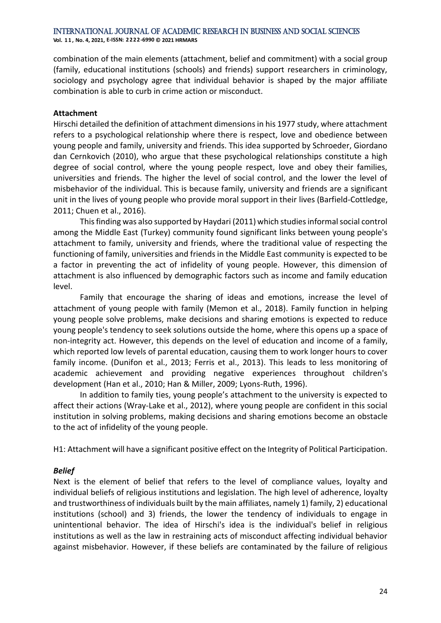**Vol. 1 1 , No. 4, 2021, E-ISSN: 2222-6990 © 2021 HRMARS**

combination of the main elements (attachment, belief and commitment) with a social group (family, educational institutions (schools) and friends) support researchers in criminology, sociology and psychology agree that individual behavior is shaped by the major affiliate combination is able to curb in crime action or misconduct.

#### **Attachment**

Hirschi detailed the definition of attachment dimensions in his 1977 study, where attachment refers to a psychological relationship where there is respect, love and obedience between young people and family, university and friends. This idea supported by Schroeder, Giordano dan Cernkovich (2010), who argue that these psychological relationships constitute a high degree of social control, where the young people respect, love and obey their families, universities and friends. The higher the level of social control, and the lower the level of misbehavior of the individual. This is because family, university and friends are a significant unit in the lives of young people who provide moral support in their lives (Barfield-Cottledge, 2011; Chuen et al., 2016).

This finding was also supported by Haydari (2011) which studies informal social control among the Middle East (Turkey) community found significant links between young people's attachment to family, university and friends, where the traditional value of respecting the functioning of family, universities and friends in the Middle East community is expected to be a factor in preventing the act of infidelity of young people. However, this dimension of attachment is also influenced by demographic factors such as income and family education level.

Family that encourage the sharing of ideas and emotions, increase the level of attachment of young people with family (Memon et al., 2018). Family function in helping young people solve problems, make decisions and sharing emotions is expected to reduce young people's tendency to seek solutions outside the home, where this opens up a space of non-integrity act. However, this depends on the level of education and income of a family, which reported low levels of parental education, causing them to work longer hours to cover family income. (Dunifon et al., 2013; Ferris et al., 2013). This leads to less monitoring of academic achievement and providing negative experiences throughout children's development (Han et al., 2010; Han & Miller, 2009; Lyons-Ruth, 1996).

In addition to family ties, young people's attachment to the university is expected to affect their actions (Wray-Lake et al., 2012), where young people are confident in this social institution in solving problems, making decisions and sharing emotions become an obstacle to the act of infidelity of the young people.

H1: Attachment will have a significant positive effect on the Integrity of Political Participation.

# *Belief*

Next is the element of belief that refers to the level of compliance values, loyalty and individual beliefs of religious institutions and legislation. The high level of adherence, loyalty and trustworthiness of individuals built by the main affiliates, namely 1) family, 2) educational institutions (school) and 3) friends, the lower the tendency of individuals to engage in unintentional behavior. The idea of Hirschi's idea is the individual's belief in religious institutions as well as the law in restraining acts of misconduct affecting individual behavior against misbehavior. However, if these beliefs are contaminated by the failure of religious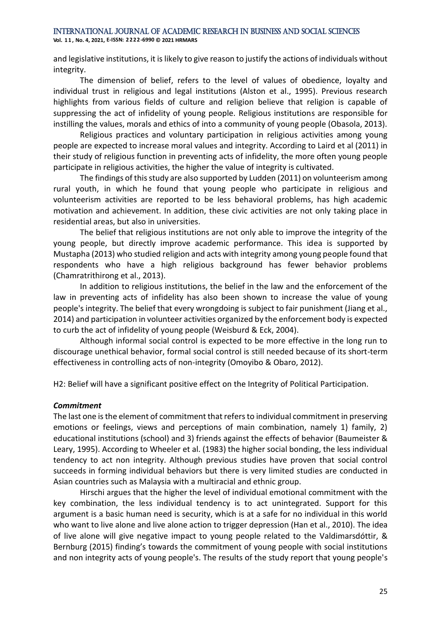**Vol. 1 1 , No. 4, 2021, E-ISSN: 2222-6990 © 2021 HRMARS**

and legislative institutions, it is likely to give reason to justify the actions of individuals without integrity.

The dimension of belief, refers to the level of values of obedience, loyalty and individual trust in religious and legal institutions (Alston et al., 1995). Previous research highlights from various fields of culture and religion believe that religion is capable of suppressing the act of infidelity of young people. Religious institutions are responsible for instilling the values, morals and ethics of into a community of young people (Obasola, 2013).

Religious practices and voluntary participation in religious activities among young people are expected to increase moral values and integrity. According to Laird et al (2011) in their study of religious function in preventing acts of infidelity, the more often young people participate in religious activities, the higher the value of integrity is cultivated.

The findings of this study are also supported by Ludden (2011) on volunteerism among rural youth, in which he found that young people who participate in religious and volunteerism activities are reported to be less behavioral problems, has high academic motivation and achievement. In addition, these civic activities are not only taking place in residential areas, but also in universities.

The belief that religious institutions are not only able to improve the integrity of the young people, but directly improve academic performance. This idea is supported by Mustapha (2013) who studied religion and acts with integrity among young people found that respondents who have a high religious background has fewer behavior problems (Chamratrithirong et al., 2013).

In addition to religious institutions, the belief in the law and the enforcement of the law in preventing acts of infidelity has also been shown to increase the value of young people's integrity. The belief that every wrongdoing is subject to fair punishment (Jiang et al., 2014) and participation in volunteer activities organized by the enforcement body is expected to curb the act of infidelity of young people (Weisburd & Eck, 2004).

Although informal social control is expected to be more effective in the long run to discourage unethical behavior, formal social control is still needed because of its short-term effectiveness in controlling acts of non-integrity (Omoyibo & Obaro, 2012).

H2: Belief will have a significant positive effect on the Integrity of Political Participation.

#### *Commitment*

The last one is the element of commitment that refers to individual commitment in preserving emotions or feelings, views and perceptions of main combination, namely 1) family, 2) educational institutions (school) and 3) friends against the effects of behavior (Baumeister & Leary, 1995). According to Wheeler et al. (1983) the higher social bonding, the less individual tendency to act non integrity. Although previous studies have proven that social control succeeds in forming individual behaviors but there is very limited studies are conducted in Asian countries such as Malaysia with a multiracial and ethnic group.

Hirschi argues that the higher the level of individual emotional commitment with the key combination, the less individual tendency is to act unintegrated. Support for this argument is a basic human need is security, which is at a safe for no individual in this world who want to live alone and live alone action to trigger depression (Han et al., 2010). The idea of live alone will give negative impact to young people related to the Valdimarsdóttir, & Bernburg (2015) finding's towards the commitment of young people with social institutions and non integrity acts of young people's. The results of the study report that young people's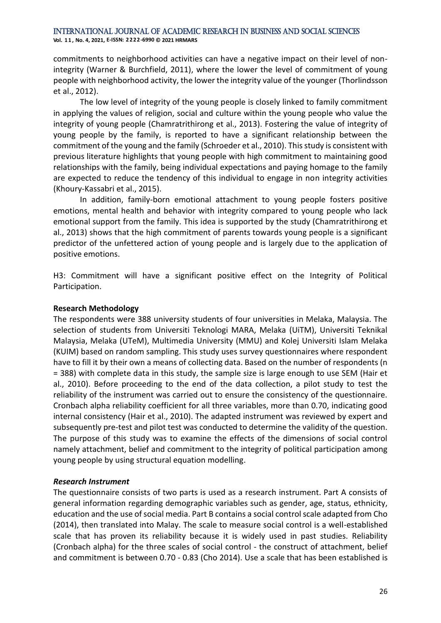commitments to neighborhood activities can have a negative impact on their level of nonintegrity (Warner & Burchfield, 2011), where the lower the level of commitment of young people with neighborhood activity, the lower the integrity value of the younger (Thorlindsson et al., 2012).

The low level of integrity of the young people is closely linked to family commitment in applying the values of religion, social and culture within the young people who value the integrity of young people (Chamratrithirong et al., 2013). Fostering the value of integrity of young people by the family, is reported to have a significant relationship between the commitment of the young and the family (Schroeder et al., 2010). This study is consistent with previous literature highlights that young people with high commitment to maintaining good relationships with the family, being individual expectations and paying homage to the family are expected to reduce the tendency of this individual to engage in non integrity activities (Khoury-Kassabri et al., 2015).

In addition, family-born emotional attachment to young people fosters positive emotions, mental health and behavior with integrity compared to young people who lack emotional support from the family. This idea is supported by the study (Chamratrithirong et al., 2013) shows that the high commitment of parents towards young people is a significant predictor of the unfettered action of young people and is largely due to the application of positive emotions.

H3: Commitment will have a significant positive effect on the Integrity of Political Participation.

#### **Research Methodology**

The respondents were 388 university students of four universities in Melaka, Malaysia. The selection of students from Universiti Teknologi MARA, Melaka (UiTM), Universiti Teknikal Malaysia, Melaka (UTeM), Multimedia University (MMU) and Kolej Universiti Islam Melaka (KUIM) based on random sampling. This study uses survey questionnaires where respondent have to fill it by their own a means of collecting data. Based on the number of respondents (n = 388) with complete data in this study, the sample size is large enough to use SEM (Hair et al., 2010). Before proceeding to the end of the data collection, a pilot study to test the reliability of the instrument was carried out to ensure the consistency of the questionnaire. Cronbach alpha reliability coefficient for all three variables, more than 0.70, indicating good internal consistency (Hair et al., 2010). The adapted instrument was reviewed by expert and subsequently pre-test and pilot test was conducted to determine the validity of the question. The purpose of this study was to examine the effects of the dimensions of social control namely attachment, belief and commitment to the integrity of political participation among young people by using structural equation modelling.

#### *Research Instrument*

The questionnaire consists of two parts is used as a research instrument. Part A consists of general information regarding demographic variables such as gender, age, status, ethnicity, education and the use of social media. Part B contains a social control scale adapted from Cho (2014), then translated into Malay. The scale to measure social control is a well-established scale that has proven its reliability because it is widely used in past studies. Reliability (Cronbach alpha) for the three scales of social control - the construct of attachment, belief and commitment is between 0.70 - 0.83 (Cho 2014). Use a scale that has been established is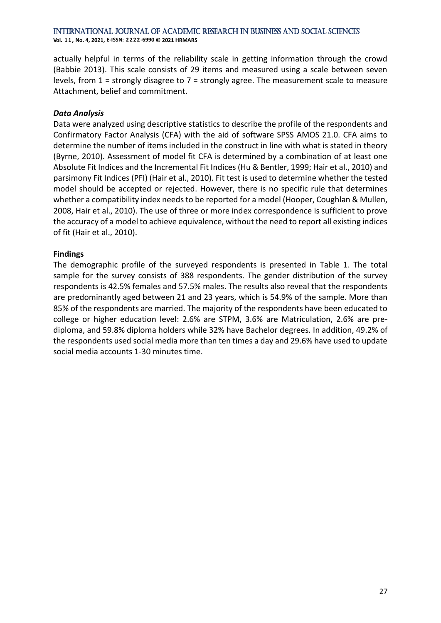**Vol. 1 1 , No. 4, 2021, E-ISSN: 2222-6990 © 2021 HRMARS**

actually helpful in terms of the reliability scale in getting information through the crowd (Babbie 2013). This scale consists of 29 items and measured using a scale between seven levels, from 1 = strongly disagree to 7 = strongly agree. The measurement scale to measure Attachment, belief and commitment.

# *Data Analysis*

Data were analyzed using descriptive statistics to describe the profile of the respondents and Confirmatory Factor Analysis (CFA) with the aid of software SPSS AMOS 21.0. CFA aims to determine the number of items included in the construct in line with what is stated in theory (Byrne, 2010). Assessment of model fit CFA is determined by a combination of at least one Absolute Fit Indices and the Incremental Fit Indices (Hu & Bentler, 1999; Hair et al., 2010) and parsimony Fit Indices (PFI) (Hair et al., 2010). Fit test is used to determine whether the tested model should be accepted or rejected. However, there is no specific rule that determines whether a compatibility index needs to be reported for a model (Hooper, Coughlan & Mullen, 2008, Hair et al., 2010). The use of three or more index correspondence is sufficient to prove the accuracy of a model to achieve equivalence, without the need to report all existing indices of fit (Hair et al., 2010).

# **Findings**

The demographic profile of the surveyed respondents is presented in Table 1. The total sample for the survey consists of 388 respondents. The gender distribution of the survey respondents is 42.5% females and 57.5% males. The results also reveal that the respondents are predominantly aged between 21 and 23 years, which is 54.9% of the sample. More than 85% of the respondents are married. The majority of the respondents have been educated to college or higher education level: 2.6% are STPM, 3.6% are Matriculation, 2.6% are prediploma, and 59.8% diploma holders while 32% have Bachelor degrees. In addition, 49.2% of the respondents used social media more than ten times a day and 29.6% have used to update social media accounts 1-30 minutes time.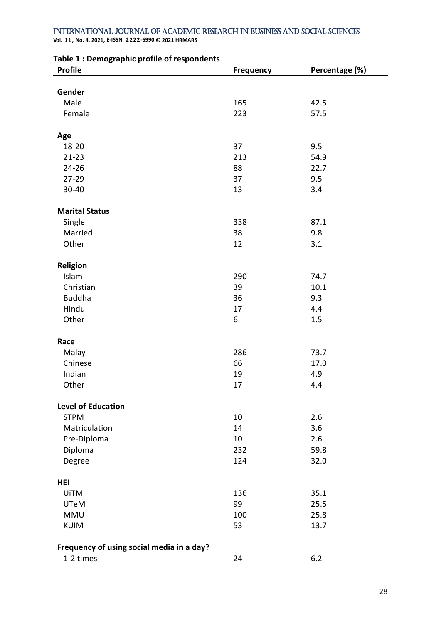**Vol. 1 1 , No. 4, 2021, E-ISSN: 2222-6990 © 2021 HRMARS**

| - ס-יי-<br>,,,,<br><b>Profile</b>         | <b>Frequency</b> | Percentage (%) |
|-------------------------------------------|------------------|----------------|
|                                           |                  |                |
| Gender                                    |                  |                |
| Male                                      | 165              | 42.5           |
| Female                                    | 223              | 57.5           |
|                                           |                  |                |
| Age                                       |                  |                |
| 18-20                                     | 37               | 9.5            |
| $21 - 23$                                 | 213              | 54.9           |
| $24 - 26$                                 | 88               | 22.7           |
| 27-29                                     | 37               | 9.5            |
| 30-40                                     | 13               | 3.4            |
|                                           |                  |                |
| <b>Marital Status</b>                     |                  |                |
| Single                                    | 338              | 87.1           |
| Married                                   | 38               | 9.8            |
| Other                                     | 12               | 3.1            |
|                                           |                  |                |
| <b>Religion</b>                           |                  |                |
| Islam                                     | 290              | 74.7           |
| Christian                                 | 39               | 10.1           |
| <b>Buddha</b>                             | 36               | 9.3            |
| Hindu                                     | 17               | 4.4            |
| Other                                     | 6                | 1.5            |
| Race                                      |                  |                |
| Malay                                     | 286              | 73.7           |
| Chinese                                   | 66               | 17.0           |
| Indian                                    | 19               | 4.9            |
| Other                                     | 17               | 4.4            |
|                                           |                  |                |
| <b>Level of Education</b>                 |                  |                |
| <b>STPM</b>                               | 10               | 2.6            |
| Matriculation                             | 14               | 3.6            |
| Pre-Diploma                               | 10               | 2.6            |
| Diploma                                   | 232              | 59.8           |
| Degree                                    | 124              | 32.0           |
|                                           |                  |                |
| <b>HEI</b>                                |                  |                |
| <b>UiTM</b>                               | 136              | 35.1           |
| <b>UTeM</b>                               | 99               | 25.5           |
| <b>MMU</b>                                | 100              | 25.8           |
| <b>KUIM</b>                               | 53               | 13.7           |
|                                           |                  |                |
| Frequency of using social media in a day? |                  |                |
| 1-2 times                                 | 24               | 6.2            |

#### **Table 1 : Demographic profile of respondents**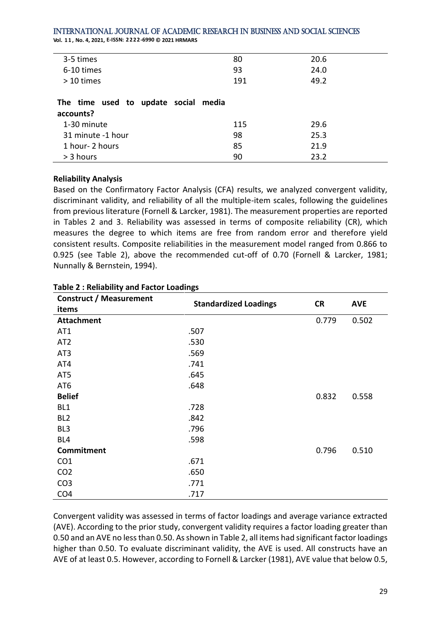**Vol. 1 1 , No. 4, 2021, E-ISSN: 2222-6990 © 2021 HRMARS**

| 3-5 times                            | 80  | 20.6 |
|--------------------------------------|-----|------|
| 6-10 times                           | 93  | 24.0 |
| > 10 times                           | 191 | 49.2 |
|                                      |     |      |
| The time used to update social media |     |      |
| accounts?                            |     |      |
| 1-30 minute                          | 115 | 29.6 |
| 31 minute -1 hour                    | 98  | 25.3 |
| 1 hour- 2 hours                      | 85  | 21.9 |
| > 3 hours                            | 90  | 23.2 |
|                                      |     |      |

#### **Reliability Analysis**

Based on the Confirmatory Factor Analysis (CFA) results, we analyzed convergent validity, discriminant validity, and reliability of all the multiple-item scales, following the guidelines from previous literature (Fornell & Larcker, 1981). The measurement properties are reported in Tables 2 and 3. Reliability was assessed in terms of composite reliability (CR), which measures the degree to which items are free from random error and therefore yield consistent results. Composite reliabilities in the measurement model ranged from 0.866 to 0.925 (see Table 2), above the recommended cut-off of 0.70 (Fornell & Larcker, 1981; Nunnally & Bernstein, 1994).

| <b>Construct / Measurement</b> |                              |           |            |  |
|--------------------------------|------------------------------|-----------|------------|--|
| items                          | <b>Standardized Loadings</b> | <b>CR</b> | <b>AVE</b> |  |
| <b>Attachment</b>              |                              | 0.779     | 0.502      |  |
| AT1                            | .507                         |           |            |  |
| AT <sub>2</sub>                | .530                         |           |            |  |
| AT <sub>3</sub>                | .569                         |           |            |  |
| AT4                            | .741                         |           |            |  |
| AT5                            | .645                         |           |            |  |
| AT6                            | .648                         |           |            |  |
| <b>Belief</b>                  |                              | 0.832     | 0.558      |  |
| BL <sub>1</sub>                | .728                         |           |            |  |
| BL <sub>2</sub>                | .842                         |           |            |  |
| BL <sub>3</sub>                | .796                         |           |            |  |
| BL4                            | .598                         |           |            |  |
| Commitment                     |                              | 0.796     | 0.510      |  |
| CO <sub>1</sub>                | .671                         |           |            |  |
| CO <sub>2</sub>                | .650                         |           |            |  |
| CO <sub>3</sub>                | .771                         |           |            |  |
| CO <sub>4</sub>                | .717                         |           |            |  |

# **Table 2 : Reliability and Factor Loadings**

Convergent validity was assessed in terms of factor loadings and average variance extracted (AVE). According to the prior study, convergent validity requires a factor loading greater than 0.50 and an AVE no less than 0.50. As shown in Table 2, all items had significant factor loadings higher than 0.50. To evaluate discriminant validity, the AVE is used. All constructs have an AVE of at least 0.5. However, according to Fornell & Larcker (1981), AVE value that below 0.5,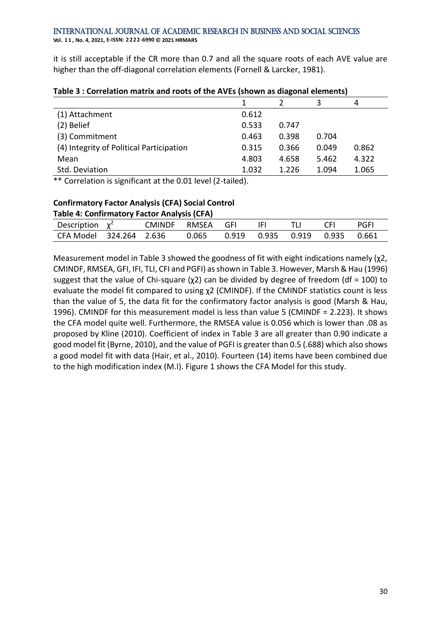it is still acceptable if the CR more than 0.7 and all the square roots of each AVE value are higher than the off-diagonal correlation elements (Fornell & Larcker, 1981).

|                                          |       |       | 3     | 4     |
|------------------------------------------|-------|-------|-------|-------|
| (1) Attachment                           | 0.612 |       |       |       |
| (2) Belief                               | 0.533 | 0.747 |       |       |
| (3) Commitment                           | 0.463 | 0.398 | 0.704 |       |
| (4) Integrity of Political Participation | 0.315 | 0.366 | 0.049 | 0.862 |
| Mean                                     | 4.803 | 4.658 | 5.462 | 4.322 |
| Std. Deviation                           | 1.032 | 1.226 | 1.094 | 1.065 |

#### **Table 3 : Correlation matrix and roots of the AVEs (shown as diagonal elements)**

\*\* Correlation is significant at the 0.01 level (2-tailed).

# **Confirmatory Factor Analysis (CFA) Social Control**

| Table 4: Confirmatory Factor Analysis (CFA) |  |                  |  |  |            |      |       |      |
|---------------------------------------------|--|------------------|--|--|------------|------|-------|------|
| Description $\chi^2$                        |  | CMINDF RMSEA GFI |  |  | <b>IFL</b> | - TH | - CEL | PGFL |
| CFA Model 324.264 2.636                     |  |                  |  |  |            |      |       |      |

Measurement model in Table 3 showed the goodness of fit with eight indications namely (χ2, CMINDF, RMSEA, GFI, IFI, TLI, CFI and PGFI) as shown in Table 3. However, Marsh & Hau (1996) suggest that the value of Chi-square ( $\chi$ 2) can be divided by degree of freedom (df = 100) to evaluate the model fit compared to using χ2 (CMINDF). If the CMINDF statistics count is less than the value of 5, the data fit for the confirmatory factor analysis is good (Marsh & Hau, 1996). CMINDF for this measurement model is less than value 5 (CMINDF = 2.223). It shows the CFA model quite well. Furthermore, the RMSEA value is 0.056 which is lower than .08 as proposed by Kline (2010). Coefficient of index in Table 3 are all greater than 0.90 indicate a good model fit (Byrne, 2010), and the value of PGFI is greater than 0.5 (.688) which also shows a good model fit with data (Hair, et al., 2010). Fourteen (14) items have been combined due to the high modification index (M.I). Figure 1 shows the CFA Model for this study.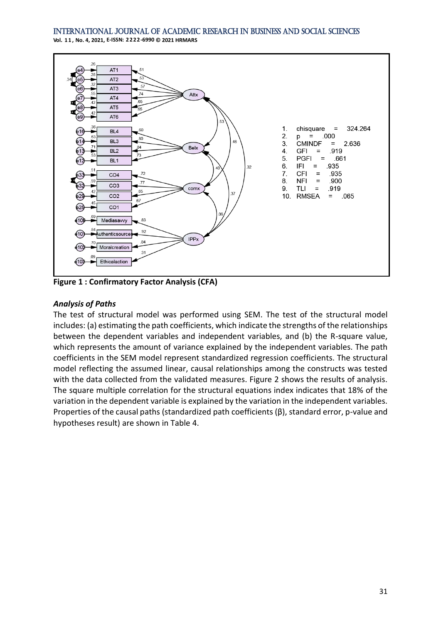**Vol. 1 1 , No. 4, 2021, E-ISSN: 2222-6990 © 2021 HRMARS**



**Figure 1 : Confirmatory Factor Analysis (CFA)**

# *Analysis of Paths*

The test of structural model was performed using SEM. The test of the structural model includes: (a) estimating the path coefficients, which indicate the strengths of the relationships between the dependent variables and independent variables, and (b) the R-square value, which represents the amount of variance explained by the independent variables. The path coefficients in the SEM model represent standardized regression coefficients. The structural model reflecting the assumed linear, causal relationships among the constructs was tested with the data collected from the validated measures. Figure 2 shows the results of analysis. The square multiple correlation for the structural equations index indicates that 18% of the variation in the dependent variable is explained by the variation in the independent variables. Properties of the causal paths (standardized path coefficients (β), standard error, p-value and hypotheses result) are shown in Table 4.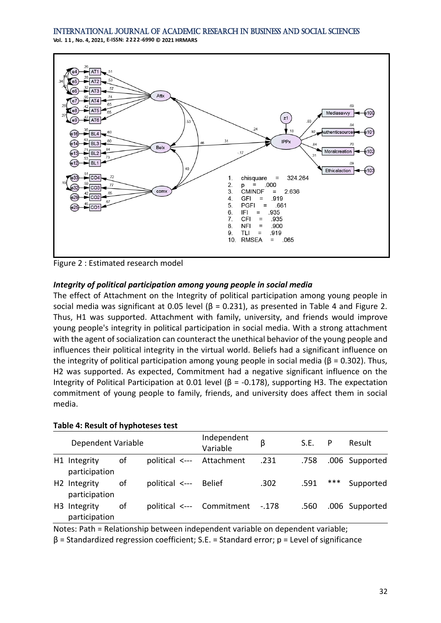



Figure 2 : Estimated research model

# *Integrity of political participation among young people in social media*

The effect of Attachment on the Integrity of political participation among young people in social media was significant at 0.05 level ( $\beta$  = 0.231), as presented in Table 4 and Figure 2. Thus, H1 was supported. Attachment with family, university, and friends would improve young people's integrity in political participation in social media. With a strong attachment with the agent of socialization can counteract the unethical behavior of the young people and influences their political integrity in the virtual world. Beliefs had a significant influence on the integrity of political participation among young people in social media ( $\beta$  = 0.302). Thus, H2 was supported. As expected, Commitment had a negative significant influence on the Integrity of Political Participation at 0.01 level (β = -0.178), supporting H3. The expectation commitment of young people to family, friends, and university does affect them in social media.

# **Table 4: Result of hyphoteses test**

| Dependent Variable                        |    |                       | Independent<br>Variable         |      | S.E. | P   | Result         |
|-------------------------------------------|----|-----------------------|---------------------------------|------|------|-----|----------------|
| H1 Integrity<br>participation             | of |                       | political <--- Attachment       | .231 | .758 |     | .006 Supported |
| H <sub>2</sub> Integrity<br>participation | οf | political <--- Belief |                                 | .302 | .591 | *** | Supported      |
| H <sub>3</sub> Integrity<br>participation | οf |                       | political <--- Commitment -.178 |      | .560 |     | .006 Supported |

Notes: Path = Relationship between independent variable on dependent variable;

β = Standardized regression coefficient; S.E. = Standard error; p = Level of significance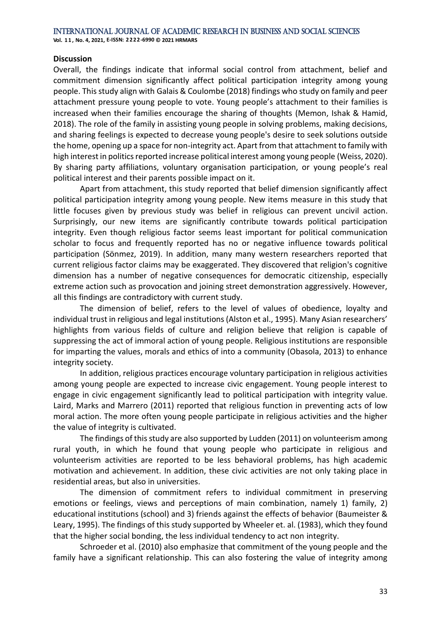### **Discussion**

Overall, the findings indicate that informal social control from attachment, belief and commitment dimension significantly affect political participation integrity among young people. This study align with Galais & Coulombe (2018) findings who study on family and peer attachment pressure young people to vote. Young people's attachment to their families is increased when their families encourage the sharing of thoughts (Memon, Ishak & Hamid, 2018). The role of the family in assisting young people in solving problems, making decisions, and sharing feelings is expected to decrease young people's desire to seek solutions outside the home, opening up a space for non-integrity act. Apart from that attachment to family with high interest in politics reported increase political interest among young people (Weiss, 2020). By sharing party affiliations, voluntary organisation participation, or young people's real political interest and their parents possible impact on it.

Apart from attachment, this study reported that belief dimension significantly affect political participation integrity among young people. New items measure in this study that little focuses given by previous study was belief in religious can prevent uncivil action. Surprisingly, our new items are significantly contribute towards political participation integrity. Even though religious factor seems least important for political communication scholar to focus and frequently reported has no or negative influence towards political participation (Sönmez, 2019). In addition, many many western researchers reported that current religious factor claims may be exaggerated. They discovered that religion's cognitive dimension has a number of negative consequences for democratic citizenship, especially extreme action such as provocation and joining street demonstration aggressively. However, all this findings are contradictory with current study.

The dimension of belief, refers to the level of values of obedience, loyalty and individual trust in religious and legal institutions (Alston et al., 1995). Many Asian researchers' highlights from various fields of culture and religion believe that religion is capable of suppressing the act of immoral action of young people. Religious institutions are responsible for imparting the values, morals and ethics of into a community (Obasola, 2013) to enhance integrity society.

In addition, religious practices encourage voluntary participation in religious activities among young people are expected to increase civic engagement. Young people interest to engage in civic engagement significantly lead to political participation with integrity value. Laird, Marks and Marrero (2011) reported that religious function in preventing acts of low moral action. The more often young people participate in religious activities and the higher the value of integrity is cultivated.

The findings of this study are also supported by Ludden (2011) on volunteerism among rural youth, in which he found that young people who participate in religious and volunteerism activities are reported to be less behavioral problems, has high academic motivation and achievement. In addition, these civic activities are not only taking place in residential areas, but also in universities.

The dimension of commitment refers to individual commitment in preserving emotions or feelings, views and perceptions of main combination, namely 1) family, 2) educational institutions (school) and 3) friends against the effects of behavior (Baumeister & Leary, 1995). The findings of this study supported by Wheeler et. al. (1983), which they found that the higher social bonding, the less individual tendency to act non integrity.

Schroeder et al. (2010) also emphasize that commitment of the young people and the family have a significant relationship. This can also fostering the value of integrity among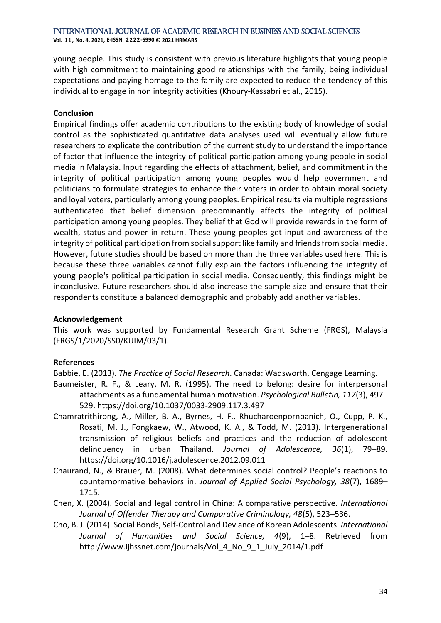**Vol. 1 1 , No. 4, 2021, E-ISSN: 2222-6990 © 2021 HRMARS**

young people. This study is consistent with previous literature highlights that young people with high commitment to maintaining good relationships with the family, being individual expectations and paying homage to the family are expected to reduce the tendency of this individual to engage in non integrity activities (Khoury-Kassabri et al., 2015).

### **Conclusion**

Empirical findings offer academic contributions to the existing body of knowledge of social control as the sophisticated quantitative data analyses used will eventually allow future researchers to explicate the contribution of the current study to understand the importance of factor that influence the integrity of political participation among young people in social media in Malaysia. Input regarding the effects of attachment, belief, and commitment in the integrity of political participation among young peoples would help government and politicians to formulate strategies to enhance their voters in order to obtain moral society and loyal voters, particularly among young peoples. Empirical results via multiple regressions authenticated that belief dimension predominantly affects the integrity of political participation among young peoples. They belief that God will provide rewards in the form of wealth, status and power in return. These young peoples get input and awareness of the integrity of political participation from social support like family and friends from social media. However, future studies should be based on more than the three variables used here. This is because these three variables cannot fully explain the factors influencing the integrity of young people's political participation in social media. Consequently, this findings might be inconclusive. Future researchers should also increase the sample size and ensure that their respondents constitute a balanced demographic and probably add another variables.

# **Acknowledgement**

This work was supported by Fundamental Research Grant Scheme (FRGS), Malaysia (FRGS/1/2020/SS0/KUIM/03/1).

# **References**

Babbie, E. (2013). *The Practice of Social Research*. Canada: Wadsworth, Cengage Learning.

- Baumeister, R. F., & Leary, M. R. (1995). The need to belong: desire for interpersonal attachments as a fundamental human motivation. *Psychological Bulletin, 117*(3), 497– 529. https://doi.org/10.1037/0033-2909.117.3.497
- Chamratrithirong, A., Miller, B. A., Byrnes, H. F., Rhucharoenpornpanich, O., Cupp, P. K., Rosati, M. J., Fongkaew, W., Atwood, K. A., & Todd, M. (2013). Intergenerational transmission of religious beliefs and practices and the reduction of adolescent delinquency in urban Thailand. *Journal of Adolescence, 36*(1), 79–89. https://doi.org/10.1016/j.adolescence.2012.09.011
- Chaurand, N., & Brauer, M. (2008). What determines social control? People's reactions to counternormative behaviors in. *Journal of Applied Social Psychology, 38*(7), 1689– 1715.
- Chen, X. (2004). Social and legal control in China: A comparative perspective. *International Journal of Offender Therapy and Comparative Criminology, 48*(5), 523–536.
- Cho, B. J. (2014). Social Bonds, Self-Control and Deviance of Korean Adolescents. *International Journal of Humanities and Social Science, 4*(9), 1–8. Retrieved from http://www.ijhssnet.com/journals/Vol\_4\_No\_9\_1\_July\_2014/1.pdf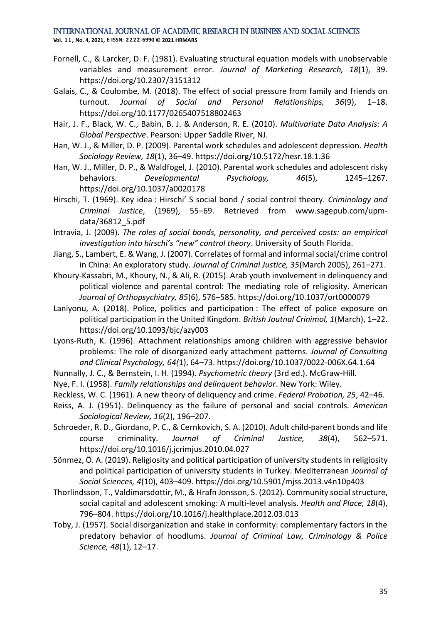**Vol. 1 1 , No. 4, 2021, E-ISSN: 2222-6990 © 2021 HRMARS**

- Fornell, C., & Larcker, D. F. (1981). Evaluating structural equation models with unobservable variables and measurement error. *Journal of Marketing Research, 18*(1), 39. https://doi.org/10.2307/3151312
- Galais, C., & Coulombe, M. (2018). The effect of social pressure from family and friends on turnout. *Journal of Social and Personal Relationships, 36*(9), 1–18. https://doi.org/10.1177/0265407518802463
- Hair, J. F., Black, W. C., Babin, B. J. & Anderson, R. E. (2010). *Multivariate Data Analysis: A Global Perspective*. Pearson: Upper Saddle River, NJ.
- Han, W. J., & Miller, D. P. (2009). Parental work schedules and adolescent depression. *Health Sociology Review, 18*(1), 36–49. https://doi.org/10.5172/hesr.18.1.36
- Han, W. J., Miller, D. P., & Waldfogel, J. (2010). Parental work schedules and adolescent risky behaviors. *Developmental Psychology, 46*(5), 1245–1267. https://doi.org/10.1037/a0020178
- Hirschi, T. (1969). Key idea : Hirschi' S social bond / social control theory. *Criminology and Criminal Justice*, (1969), 55–69. Retrieved from www.sagepub.com/upmdata/36812\_5.pdf
- Intravia, J. (2009). *The roles of social bonds, personality, and perceived costs: an empirical investigation into hirschi's "new" control theory*. University of South Florida.
- Jiang, S., Lambert, E. & Wang, J. (2007). Correlates of formal and informal social/crime control in China: An exploratory study. *Journal of Criminal Justice, 35*(March 2005), 261–271.
- Khoury-Kassabri, M., Khoury, N., & Ali, R. (2015). Arab youth involvement in delinquency and political violence and parental control: The mediating role of religiosity. American *Journal of Orthopsychiatry, 85*(6), 576–585. https://doi.org/10.1037/ort0000079
- Laniyonu, A. (2018). Police, politics and participation : The effect of police exposure on political participation in the United Kingdom. *British Joutnal Crinimol, 1*(March), 1–22. https://doi.org/10.1093/bjc/azy003
- Lyons-Ruth, K. (1996). Attachment relationships among children with aggressive behavior problems: The role of disorganized early attachment patterns. *Journal of Consulting and Clinical Psychology, 64(*1), 64–73. https://doi.org/10.1037/0022-006X.64.1.64
- Nunnally, J. C., & Bernstein, I. H. (1994). *Psychometric theory* (3rd ed.). McGraw-Hill.
- Nye, F. I. (1958). *Family relationships and delinquent behavior*. New York: Wiley.
- Reckless, W. C. (1961). A new theory of deliquency and crime. *Federal Probation, 25*, 42–46.
- Reiss, A. J. (1951). Delinquency as the failure of personal and social controls. *American Sociological Review, 16*(2), 196–207.
- Schroeder, R. D., Giordano, P. C., & Cernkovich, S. A. (2010). Adult child-parent bonds and life course criminality. *Journal of Criminal Justice, 38*(4), 562–571. https://doi.org/10.1016/j.jcrimjus.2010.04.027
- Sönmez, Ö. A. (2019). Religiosity and political participation of university students in religiosity and political participation of university students in Turkey. Mediterranean *Journal of Social Sciences, 4*(10), 403–409. https://doi.org/10.5901/mjss.2013.v4n10p403
- Thorlindsson, T., Valdimarsdottir, M., & Hrafn Jonsson, S. (2012). Community social structure, social capital and adolescent smoking: A multi-level analysis. *Health and Place, 18*(4), 796–804. https://doi.org/10.1016/j.healthplace.2012.03.013
- Toby, J. (1957). Social disorganization and stake in conformity: complementary factors in the predatory behavior of hoodlums. *Journal of Criminal Law, Criminology & Police Science, 48*(1), 12–17.